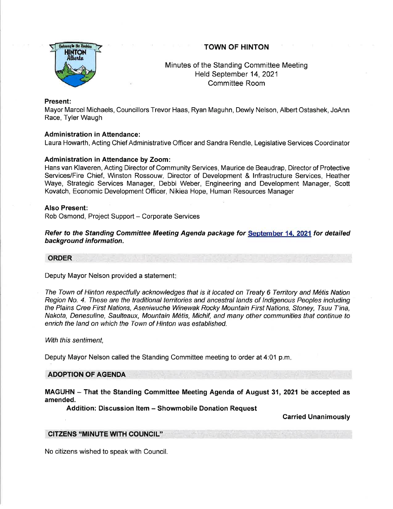# TOWN OF HINTON



# Minutes of the Standing Committee Meeting Held September 14,2021 Committee Room

### Present:

Mayor Marcel Michaels, Councillors Trevor Haas, Ryan Maguhn, Dewly Nelson, Albert Ostashek, JoAnn Race, Tyler Waugh

# Administration in Attendance:

Laura Howarth, Acting Chief Administrative Officer and Sandra Rendle, Legislative Services Coordinator

### Administration in Attendance by Zoom:

Hans van Klaveren, Acting Director of Community Services, Maurice de Beaudrap, Director of Protective Services/Fire Chief, Winston Rossouw, Director of Development & lnfrastructure Services, Heather Waye, Strategic Services Manager, Debbi Weber, Engineering and Development Manager, Scott Kovatch, Economic Development Officer, Nikiea Hope, Human Resources Manager

#### Also Present:

Rob Osmond, Project Support - Corporate Services

Refer to the Standing Committee Meeting Agenda package for September 14, 2021 for detailed background information.

### **ORDER**

Deputy Mayor Nelson provided a statement

The Town of Hinton respectfully acknowledges fhaf is it located on Treaty 6 Territory and Metis Nation Region No. 4. Ihese are the traditional territories and ancestral lands of lndigenous Peoples including the Plains Cree First Nations, Aseniwuche Winewak Rocky Mountain First Nations, Sfoney, Tsuu T'ina, Nakota, Denesuline, Saulteaux, Mountain Métis, Michif, and many other communities that continue to enrich the land on which the Town of Hinton was established.

#### With this sentiment,

Deputy Mayor Nelson called the Standing Committee meeting to order at 4:01 p.m

### ADOPTION OF AGENDA

MAGUHN - That the Standing Committee Meeting Agenda of August 31, 2021 be accepted as amended.

Addition: Discussion ltem - Showmobile Donation Request

Carried Unanimously

#### CITZENS "MINUTE WTH COUNC]L''

No citizens wished to speak with Council.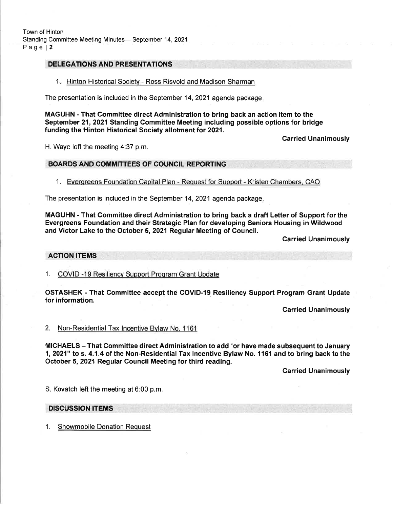# DELEGATIONS AND PRESENTATIONS

### 1. Hinton Historical Society - Ross Risvold and Madison Sharman

The presentation is included in the September 14, 2021 agenda package

MAGUHN - That Committee direct Administration to bring back an action item to the September 21,2021 Standing Committee Meeting including possible options for bridge funding the Hinton Historical Society allotment tor 2021.

H. Waye left the meeting 4:37 p.m.

## Carried Unanimously

#### BOARDS AND COMMITTEES OF COUNCIL REPORTING

1. Everqreens Foundation Capital Plan - Request for Support - Kristen Chambers. CAO

The presentation is included in the September 14, 2021 agenda package

MAGUHN - That Gommittee direct Administration to bring back a draft Letter of Support for the Evergreens Foundation and their Strategic Plan for developing Seniors Housing in Wildwood and Victor Lake to the October 5,2O21 Regular Meeting of Gouncil.

Carried Unanimously

### ACTION ITEMS

1. COVID -19 Resiliencv Support Proqram Grant Update

OSTASHEK - That Committee accept the COVID-I9 Resiliency Support Program Grant Update for information.

**Carried Unanimously** 

2. Non-Residential Tax lncentive Bvlaw No. <sup>1161</sup>

MICHAELS - That Committee direct Administration to add "or have made subsequent to January 1, 2021" to s. 4.1.4 of the Non-Residential Tax Incentive Bylaw No. 1161 and to bring back to the October 5, 2021 Regular Council Meeting for third reading.

**Carried Unanimously** 

S. Kovatch left the meeting at 6:00 p.m.

### DISCUSSION ITEMS

1. Showmobile Donation Request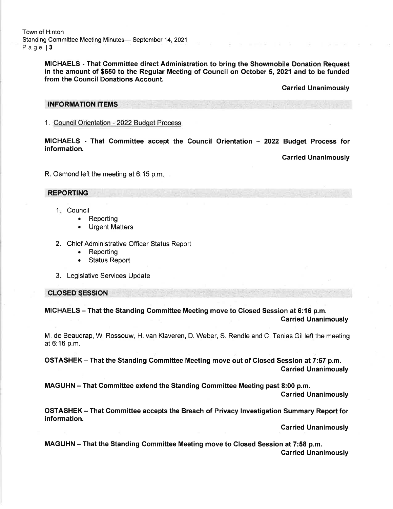Town of Hinton Standing Committee Meeting Minutes- September 14, 2021 Page | 3

> MICHAELS - That Gommittee direct Administration to bring the Showmobile Donation Request in the amount of \$650 to the Regular Meeting of Council on October 5,2O21and to be funded from the Council Donations Account.

> > Carried Unanimously

#### INFORMATION ITEMS

1. Council Orientation - 2022 Budqet Process

MICHAELS - That Committee accept the Council Orientation - 2022 Budget Process for information.

Carried Unanimously

R. Osmond left the meeting at 6:15 p.m

## REPORTING

- I Counci 1
	- Reporting a
	- Urgent Matters a
- 2. Chief Administrative Officer Status Report
	- . Reporting
	- . Status Report
- 3. Legislative Services Update

### cLosED sEssroN

MICHAELS – That the Standing Committee Meeting move to Closed Session at 6:16 p.m.<br>Carried Unanimously

M. de Beaudrap, W. Rossouw, H. van Klaveren, D. Weber, S. Rendle and C. Tenias Gil left the meeting at 6:16 p.m.

OSTASHEK - That the Standing Committee Meeting move out of Closed Session at 7:57 p.m. Carried Unanimously

MAGUHN - That Gommittee extend the Standing Gommittee Meeting past 8:00 p.m. Carried Unanimously

OSTASHEK - That Committee accepts the Breach of Privacy lnvestigation Summary Report for information.

Carried Unanimously

MAGUHN - That the Standing Committee Meeting move to Closed Session at 7:58 p.m. Carried Unanimously